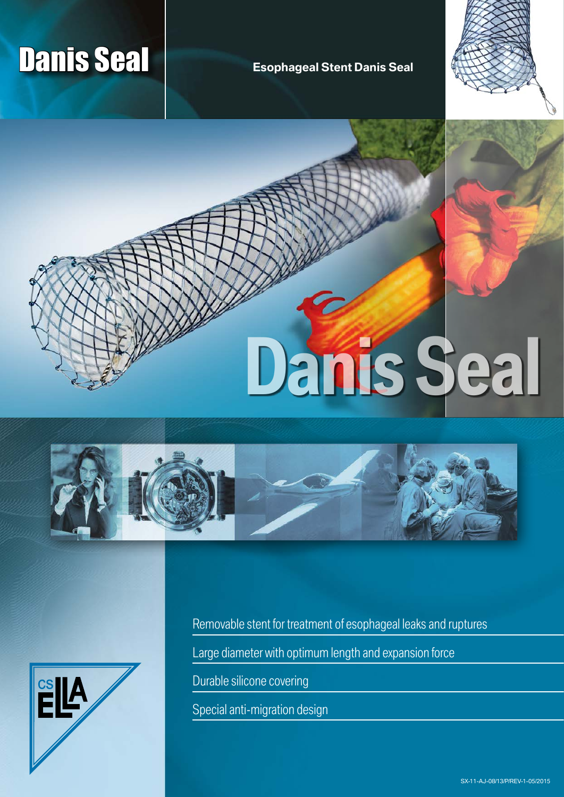# **Danis Seal Canada Accord Seal Esophageal Stent Danis Seal**





**Danis Seal**





Removable stent for treatment of esophageal leaks and ruptures

Large diameter with optimum length and expansion force

Durable silicone covering

Special anti-migration design